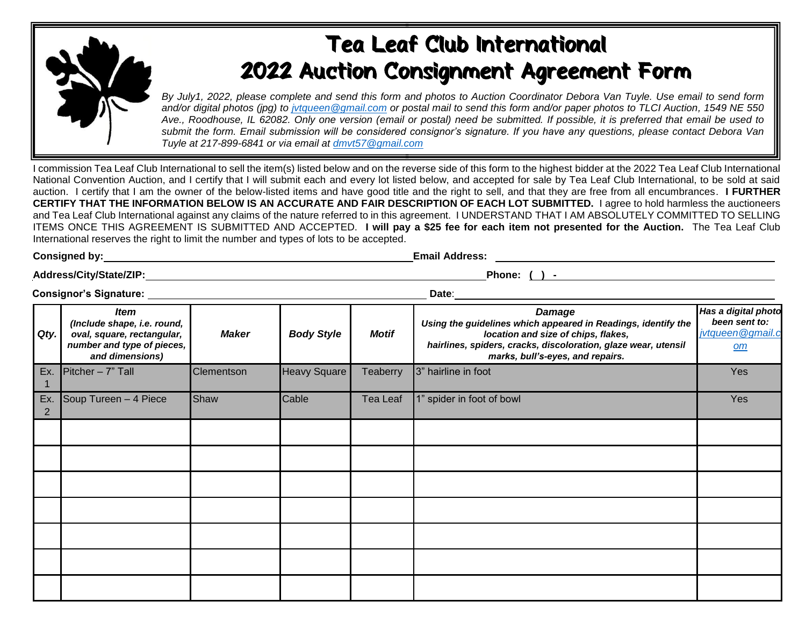

## Tea Leaf Club International 2022 Auction Consignment Agreement Form

*By July1, 2022, please complete and send this form and photos to Auction Coordinator Debora Van Tuyle. Use email to send form and/or digital photos (jpg) to jvtqueen@gmail.com or postal mail to send this form and/or paper photos to TLCI Auction, 1549 NE 550 Ave., Roodhouse, IL 62082. Only one version (email or postal) need be submitted. If possible, it is preferred that email be used to submit the form. Email submission will be considered consignor's signature. If you have any questions, please contact Debora Van Tuyle at 217-899-6841 or via email at [dmvt57@gmail.com](mailto:dmvt57@gmail.com)*

**Consigned by: Email Address:**

I commission Tea Leaf Club International to sell the item(s) listed below and on the reverse side of this form to the highest bidder at the 2022 Tea Leaf Club International National Convention Auction, and I certify that I will submit each and every lot listed below, and accepted for sale by Tea Leaf Club International, to be sold at said auction. I certify that I am the owner of the below-listed items and have good title and the right to sell, and that they are free from all encumbrances. **I FURTHER CERTIFY THAT THE INFORMATION BELOW IS AN ACCURATE AND FAIR DESCRIPTION OF EACH LOT SUBMITTED.** I agree to hold harmless the auctioneers and Tea Leaf Club International against any claims of the nature referred to in this agreement. I UNDERSTAND THAT I AM ABSOLUTELY COMMITTED TO SELLING ITEMS ONCE THIS AGREEMENT IS SUBMITTED AND ACCEPTED. **I will pay a \$25 fee for each item not presented for the Auction.** The Tea Leaf Club International reserves the right to limit the number and types of lots to be accepted.

|  |  | <b>Consigned by:</b> |  |  |
|--|--|----------------------|--|--|
|--|--|----------------------|--|--|

**Address/City/State/ZIP: Phone: ( ) -** 

**Consignor's Signature: Date**:

|          | $\sim$ onoignor o oignataro.<br>wuw.                                                                                      |              |                   |                 |                                                                                                                                                                                                                             |                                                                  |  |  |
|----------|---------------------------------------------------------------------------------------------------------------------------|--------------|-------------------|-----------------|-----------------------------------------------------------------------------------------------------------------------------------------------------------------------------------------------------------------------------|------------------------------------------------------------------|--|--|
| Qty.     | <b>Item</b><br>(Include shape, i.e. round,<br>oval, square, rectangular,<br>number and type of pieces,<br>and dimensions) | <b>Maker</b> | <b>Body Style</b> | <b>Motif</b>    | <b>Damage</b><br>Using the guidelines which appeared in Readings, identify the<br>location and size of chips, flakes,<br>hairlines, spiders, cracks, discoloration, glaze wear, utensil<br>marks, bull's-eyes, and repairs. | Has a digital photo<br>been sent to:<br>jvtqueen@gmail.c<br>$om$ |  |  |
| Ex.      | Pitcher - 7" Tall                                                                                                         | Clementson   | Heavy Square      | <b>Teaberry</b> | 3" hairline in foot                                                                                                                                                                                                         | Yes                                                              |  |  |
| Ex.<br>2 | Soup Tureen - 4 Piece                                                                                                     | Shaw         | Cable             | Tea Leaf        | 1" spider in foot of bowl                                                                                                                                                                                                   | Yes                                                              |  |  |
|          |                                                                                                                           |              |                   |                 |                                                                                                                                                                                                                             |                                                                  |  |  |
|          |                                                                                                                           |              |                   |                 |                                                                                                                                                                                                                             |                                                                  |  |  |
|          |                                                                                                                           |              |                   |                 |                                                                                                                                                                                                                             |                                                                  |  |  |
|          |                                                                                                                           |              |                   |                 |                                                                                                                                                                                                                             |                                                                  |  |  |
|          |                                                                                                                           |              |                   |                 |                                                                                                                                                                                                                             |                                                                  |  |  |
|          |                                                                                                                           |              |                   |                 |                                                                                                                                                                                                                             |                                                                  |  |  |
|          |                                                                                                                           |              |                   |                 |                                                                                                                                                                                                                             |                                                                  |  |  |